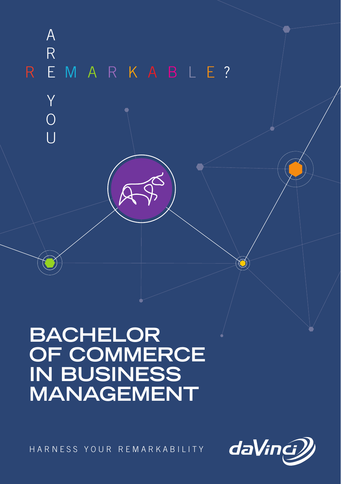

# **BACHELOR OF COMMERCE IN BUSINESS MANAGEMENT**

HARNESS YOUR REMARKABILITY



 $\circlearrowleft$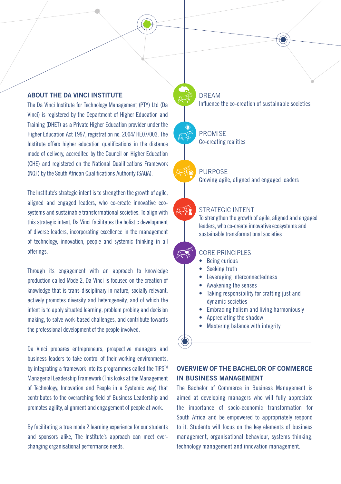# ABOUT THE DA VINCI INSTITUTE

The Da Vinci Institute for Technology Management (PTY) Ltd (Da Vinci) is registered by the Department of Higher Education and Training (DHET) as a Private Higher Education provider under the Higher Education Act 1997, registration no. 2004/ HE07/003. The Institute offers higher education qualifications in the distance mode of delivery, accredited by the Council on Higher Education (CHE) and registered on the National Qualifications Framework (NQF) by the South African Qualifications Authority (SAQA).

The Institute's strategic intent is to strengthen the growth of agile, aligned and engaged leaders, who co-create innovative ecosystems and sustainable transformational societies. To align with this strategic intent, Da Vinci facilitates the holistic development of diverse leaders, incorporating excellence in the management of technology, innovation, people and systemic thinking in all offerings.

Through its engagement with an approach to knowledge production called Mode 2, Da Vinci is focused on the creation of knowledge that is trans-disciplinary in nature, socially relevant, actively promotes diversity and heterogeneity, and of which the intent is to apply situated learning, problem probing and decision making, to solve work-based challenges, and contribute towards the professional development of the people involved.

Da Vinci prepares entrepreneurs, prospective managers and business leaders to take control of their working environments, by integrating a framework into its programmes called the TIPS™ Managerial Leadership Framework (This looks at the Management of Technology, Innovation and People in a Systemic way) that contributes to the overarching field of Business Leadership and promotes agility, alignment and engagement of people at work.

By facilitating a true mode 2 learning experience for our students and sponsors alike, The Institute's approach can meet everchanging organisational performance needs.

## DREAM Influence the co-creation of sustainable societies

PROMISE Co-creating realities

## **PURPOSE**

Growing agile, aligned and engaged leaders

#### STRATEGIC INTENT

To strengthen the growth of agile, aligned and engaged leaders, who co-create innovative ecosystems and sustainable transformational societies

# CORE PRINCIPLES

- Being curious
- Seeking truth
- Leveraging interconnectedness
- Awakening the senses
- Taking responsibility for crafting just and dynamic societies
- Embracing holism and living harmoniously
- Appreciating the shadow
- Mastering balance with integrity

# OVERVIEW OF THE BACHELOR OF COMMERCE IN BUSINESS MANAGEMENT

The Bachelor of Commerce in Business Management is aimed at developing managers who will fully appreciate the importance of socio-economic transformation for South Africa and be empowered to appropriately respond to it. Students will focus on the key elements of business management, organisational behaviour, systems thinking, technology management and innovation management.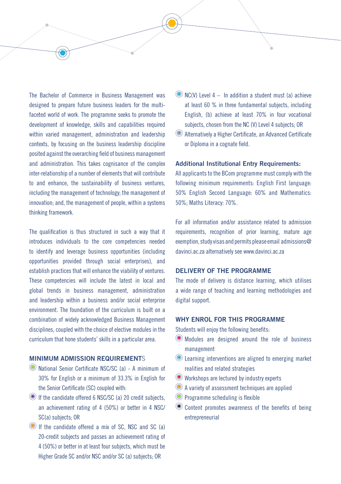The Bachelor of Commerce in Business Management was designed to prepare future business leaders for the multifaceted world of work. The programme seeks to promote the development of knowledge, skills and capabilities required within varied management, administration and leadership contexts, by focusing on the business leadership discipline posited against the overarching field of business management and administration. This takes cognisance of the complex inter-relationship of a number of elements that will contribute to and enhance, the sustainability of business ventures, including the management of technology; the management of innovation; and, the management of people, within a systems thinking framework.

The qualification is thus structured in such a way that it introduces individuals to the core competencies needed to identify and leverage business opportunities (including opportunities provided through social enterprises), and establish practices that will enhance the viability of ventures. These competencies will include the latest in local and global trends in business management, administration and leadership within a business and/or social enterprise environment. The foundation of the curriculum is built on a combination of widely acknowledged Business Management disciplines, coupled with the choice of elective modules in the curriculum that hone students' skills in a particular area.

# MINIMUM ADMISSION REQUIREMENTS

- National Senior Certificate NSC/SC (a) A minimum of 30% for English or a minimum of 33.3% in English for the Senior Certificate (SC) coupled with:
- If the candidate offered 6 NSC/SC (a) 20 credit subjects, an achievement rating of 4 (50%) or better in 4 NSC/ SC(a) subjects; OR
- If the candidate offered a mix of SC, NSC and SC (a) 20-credit subjects and passes an achievement rating of 4 (50%) or better in at least four subjects, which must be Higher Grade SC and/or NSC and/or SC (a) subjects; OR
- $\circledcirc$  NC(V) Level 4 In addition a student must (a) achieve at least 60 % in three fundamental subjects, including English, (b) achieve at least 70% in four vocational subjects, chosen from the NC (V) Level 4 subjects; OR
- Alternatively a Higher Certificate, an Advanced Certificate or Diploma in a cognate field.

#### Additional Institutional Entry Requirements:

All applicants to the BCom programme must comply with the following minimum requirements: English First language: 50% English Second Language: 60% and Mathematics: 50%; Maths Literacy: 70%.

For all information and/or assistance related to admission requirements, recognition of prior learning, mature age exemption, study visas and permits please email admissions@ davinci.ac.za alternatively see www.davinci.ac.za

## DELIVERY OF THE PROGRAMME

The mode of delivery is distance learning, which utilises a wide range of teaching and learning methodologies and digital support.

# WHY ENROL FOR THIS PROGRAMME

Students will enjoy the following benefits:

- Modules are designed around the role of business management
- Learning interventions are aligned to emerging market realities and related strategies
- Workshops are lectured by industry experts
- A variety of assessment techniques are applied
- Programme scheduling is flexible
- Content promotes awareness of the benefits of being entrepreneurial